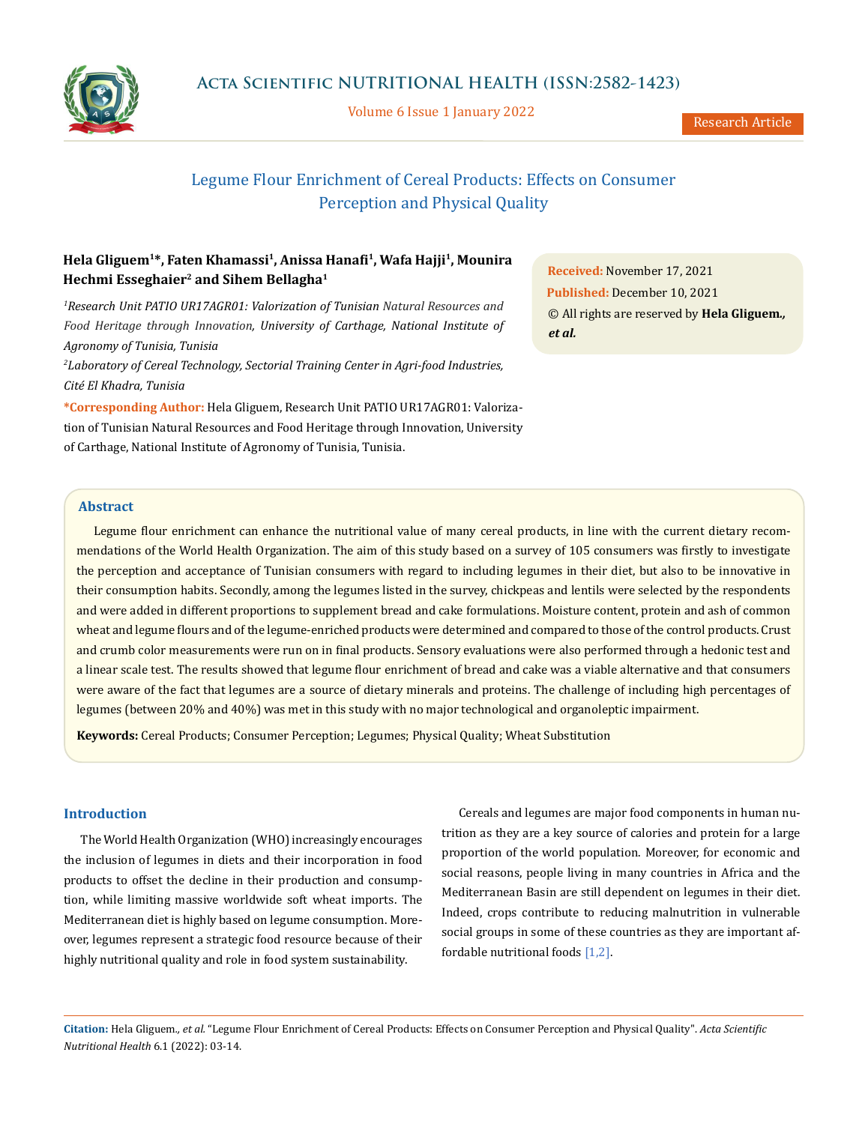

Volume 6 Issue 1 January 2022

# Legume Flour Enrichment of Cereal Products: Effects on Consumer Perception and Physical Quality

## **Hela Gliguem1\*, Faten Khamassi1, Anissa Hanafi1, Wafa Hajji1, Mounira Hechmi Esseghaier2 and Sihem Bellagha1**

*1 Research Unit PATIO UR17AGR01: Valorization of Tunisian Natural Resources and Food Heritage through Innovation, University of Carthage, National Institute of Agronomy of Tunisia, Tunisia*

*2 Laboratory of Cereal Technology, Sectorial Training Center in Agri-food Industries, Cité El Khadra, Tunisia*

**\*Corresponding Author:** Hela Gliguem, Research Unit PATIO UR17AGR01: Valorization of Tunisian Natural Resources and Food Heritage through Innovation, University of Carthage, National Institute of Agronomy of Tunisia, Tunisia.

**Received:** November 17, 2021 **Published:** December 10, 2021 © All rights are reserved by **Hela Gliguem***., et al.*

## **Abstract**

Legume flour enrichment can enhance the nutritional value of many cereal products, in line with the current dietary recommendations of the World Health Organization. The aim of this study based on a survey of 105 consumers was firstly to investigate the perception and acceptance of Tunisian consumers with regard to including legumes in their diet, but also to be innovative in their consumption habits. Secondly, among the legumes listed in the survey, chickpeas and lentils were selected by the respondents and were added in different proportions to supplement bread and cake formulations. Moisture content, protein and ash of common wheat and legume flours and of the legume-enriched products were determined and compared to those of the control products. Crust and crumb color measurements were run on in final products. Sensory evaluations were also performed through a hedonic test and a linear scale test. The results showed that legume flour enrichment of bread and cake was a viable alternative and that consumers were aware of the fact that legumes are a source of dietary minerals and proteins. The challenge of including high percentages of legumes (between 20% and 40%) was met in this study with no major technological and organoleptic impairment.

**Keywords:** Cereal Products; Consumer Perception; Legumes; Physical Quality; Wheat Substitution

## **Introduction**

The World Health Organization (WHO) increasingly encourages the inclusion of legumes in diets and their incorporation in food products to offset the decline in their production and consumption, while limiting massive worldwide soft wheat imports. The Mediterranean diet is highly based on legume consumption. Moreover, legumes represent a strategic food resource because of their highly nutritional quality and role in food system sustainability.

Cereals and legumes are major food components in human nutrition as they are a key source of calories and protein for a large proportion of the world population. Moreover, for economic and social reasons, people living in many countries in Africa and the Mediterranean Basin are still dependent on legumes in their diet. Indeed, crops contribute to reducing malnutrition in vulnerable social groups in some of these countries as they are important affordable nutritional foods [1,2].

**Citation:** Hela Gliguem*., et al.* "Legume Flour Enrichment of Cereal Products: Effects on Consumer Perception and Physical Quality". *Acta Scientific Nutritional Health* 6.1 (2022): 03-14.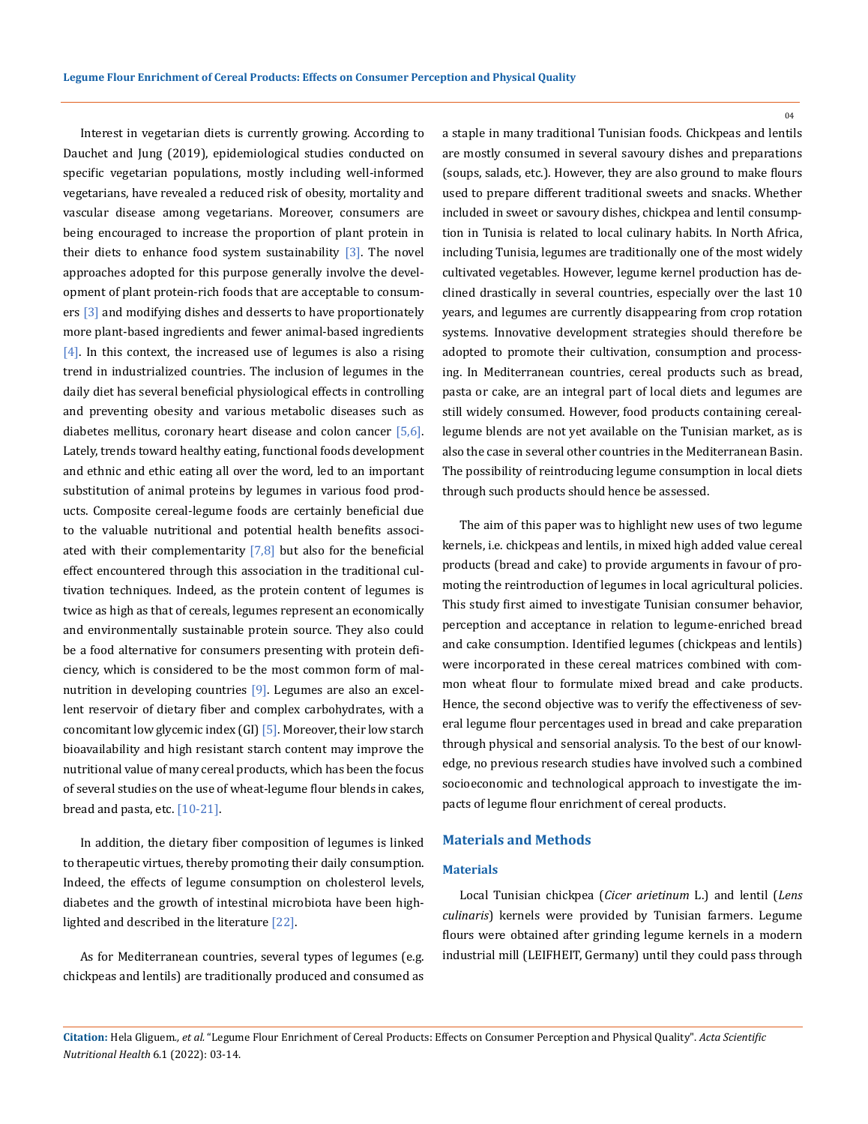Interest in vegetarian diets is currently growing. According to Dauchet and Jung (2019), epidemiological studies conducted on specific vegetarian populations, mostly including well-informed vegetarians, have revealed a reduced risk of obesity, mortality and vascular disease among vegetarians. Moreover, consumers are being encouraged to increase the proportion of plant protein in their diets to enhance food system sustainability  $[3]$ . The novel approaches adopted for this purpose generally involve the development of plant protein-rich foods that are acceptable to consumers [3] and modifying dishes and desserts to have proportionately more plant-based ingredients and fewer animal-based ingredients  $[4]$ . In this context, the increased use of legumes is also a rising trend in industrialized countries. The inclusion of legumes in the daily diet has several beneficial physiological effects in controlling and preventing obesity and various metabolic diseases such as diabetes mellitus, coronary heart disease and colon cancer [5,6]. Lately, trends toward healthy eating, functional foods development and ethnic and ethic eating all over the word, led to an important substitution of animal proteins by legumes in various food products. Composite cereal-legume foods are certainly beneficial due to the valuable nutritional and potential health benefits associated with their complementarity  $[7,8]$  but also for the beneficial effect encountered through this association in the traditional cultivation techniques. Indeed, as the protein content of legumes is twice as high as that of cereals, legumes represent an economically and environmentally sustainable protein source. They also could be a food alternative for consumers presenting with protein deficiency, which is considered to be the most common form of malnutrition in developing countries [9]. Legumes are also an excellent reservoir of dietary fiber and complex carbohydrates, with a concomitant low glycemic index  $(GI)$  [5]. Moreover, their low starch bioavailability and high resistant starch content may improve the nutritional value of many cereal products, which has been the focus of several studies on the use of wheat-legume flour blends in cakes, bread and pasta, etc. [10-21].

In addition, the dietary fiber composition of legumes is linked to therapeutic virtues, thereby promoting their daily consumption. Indeed, the effects of legume consumption on cholesterol levels, diabetes and the growth of intestinal microbiota have been highlighted and described in the literature [22].

As for Mediterranean countries, several types of legumes (e.g. chickpeas and lentils) are traditionally produced and consumed as a staple in many traditional Tunisian foods. Chickpeas and lentils are mostly consumed in several savoury dishes and preparations (soups, salads, etc.). However, they are also ground to make flours used to prepare different traditional sweets and snacks. Whether included in sweet or savoury dishes, chickpea and lentil consumption in Tunisia is related to local culinary habits. In North Africa, including Tunisia, legumes are traditionally one of the most widely cultivated vegetables. However, legume kernel production has declined drastically in several countries, especially over the last 10 years, and legumes are currently disappearing from crop rotation systems. Innovative development strategies should therefore be adopted to promote their cultivation, consumption and processing. In Mediterranean countries, cereal products such as bread, pasta or cake, are an integral part of local diets and legumes are still widely consumed. However, food products containing cereallegume blends are not yet available on the Tunisian market, as is also the case in several other countries in the Mediterranean Basin. The possibility of reintroducing legume consumption in local diets through such products should hence be assessed.

The aim of this paper was to highlight new uses of two legume kernels, i.e. chickpeas and lentils, in mixed high added value cereal products (bread and cake) to provide arguments in favour of promoting the reintroduction of legumes in local agricultural policies. This study first aimed to investigate Tunisian consumer behavior, perception and acceptance in relation to legume-enriched bread and cake consumption. Identified legumes (chickpeas and lentils) were incorporated in these cereal matrices combined with common wheat flour to formulate mixed bread and cake products. Hence, the second objective was to verify the effectiveness of several legume flour percentages used in bread and cake preparation through physical and sensorial analysis. To the best of our knowledge, no previous research studies have involved such a combined socioeconomic and technological approach to investigate the impacts of legume flour enrichment of cereal products.

#### **Materials and Methods**

#### **Materials**

Local Tunisian chickpea (*Cicer arietinum* L.) and lentil (*Lens culinaris*) kernels were provided by Tunisian farmers. Legume flours were obtained after grinding legume kernels in a modern industrial mill (LEIFHEIT, Germany) until they could pass through

**Citation:** Hela Gliguem*., et al.* "Legume Flour Enrichment of Cereal Products: Effects on Consumer Perception and Physical Quality". *Acta Scientific Nutritional Health* 6.1 (2022): 03-14.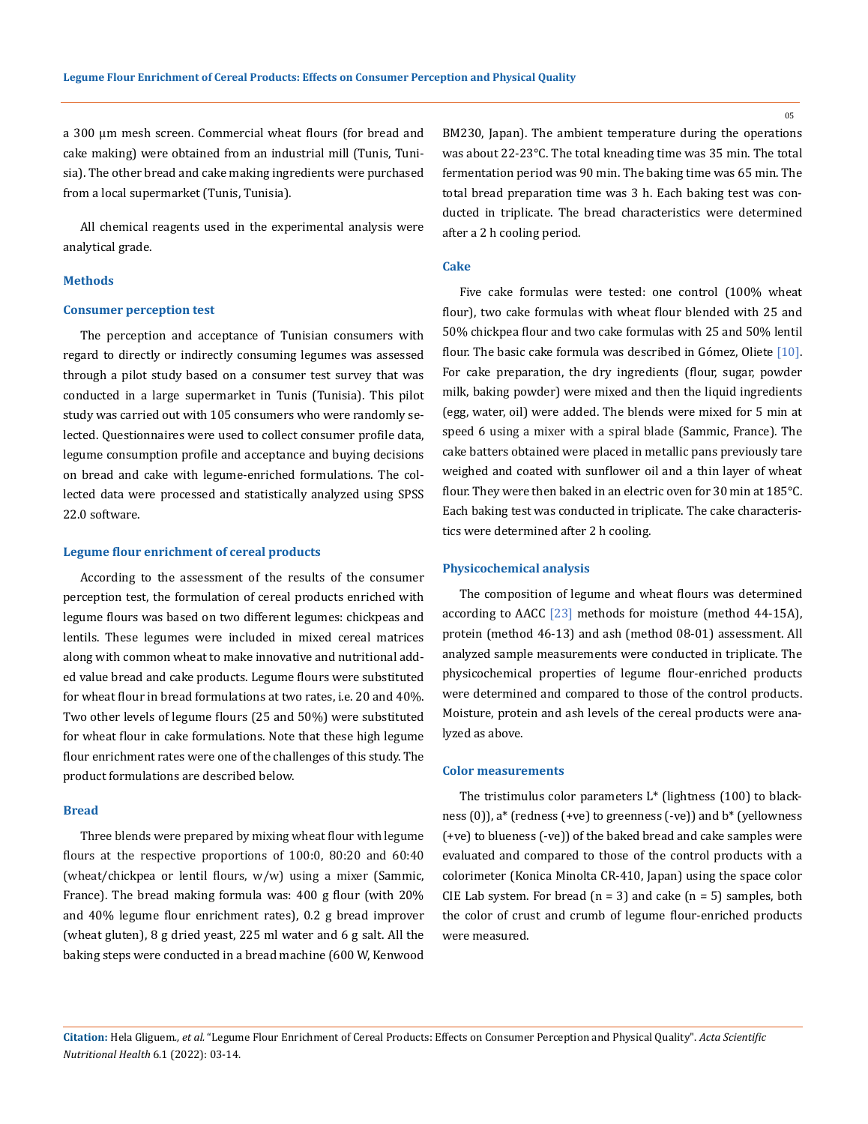a 300 µm mesh screen. Commercial wheat flours (for bread and cake making) were obtained from an industrial mill (Tunis, Tunisia). The other bread and cake making ingredients were purchased from a local supermarket (Tunis, Tunisia).

All chemical reagents used in the experimental analysis were analytical grade.

#### **Methods**

### **Consumer perception test**

The perception and acceptance of Tunisian consumers with regard to directly or indirectly consuming legumes was assessed through a pilot study based on a consumer test survey that was conducted in a large supermarket in Tunis (Tunisia). This pilot study was carried out with 105 consumers who were randomly selected. Questionnaires were used to collect consumer profile data, legume consumption profile and acceptance and buying decisions on bread and cake with legume-enriched formulations. The collected data were processed and statistically analyzed using SPSS 22.0 software.

#### **Legume flour enrichment of cereal products**

According to the assessment of the results of the consumer perception test, the formulation of cereal products enriched with legume flours was based on two different legumes: chickpeas and lentils. These legumes were included in mixed cereal matrices along with common wheat to make innovative and nutritional added value bread and cake products. Legume flours were substituted for wheat flour in bread formulations at two rates, i.e. 20 and 40%. Two other levels of legume flours (25 and 50%) were substituted for wheat flour in cake formulations. Note that these high legume flour enrichment rates were one of the challenges of this study. The product formulations are described below.

#### **Bread**

Three blends were prepared by mixing wheat flour with legume flours at the respective proportions of 100:0, 80:20 and 60:40 (wheat/chickpea or lentil flours, w/w) using a mixer (Sammic, France). The bread making formula was: 400 g flour (with 20% and 40% legume flour enrichment rates), 0.2 g bread improver (wheat gluten), 8 g dried yeast, 225 ml water and 6 g salt. All the baking steps were conducted in a bread machine (600 W, Kenwood BM230, Japan). The ambient temperature during the operations was about 22-23°C. The total kneading time was 35 min. The total fermentation period was 90 min. The baking time was 65 min. The total bread preparation time was 3 h. Each baking test was conducted in triplicate. The bread characteristics were determined after a 2 h cooling period.

#### **Cake**

Five cake formulas were tested: one control (100% wheat flour), two cake formulas with wheat flour blended with 25 and 50% chickpea flour and two cake formulas with 25 and 50% lentil flour. The basic cake formula was described in Gómez, Oliete [10]. For cake preparation, the dry ingredients (flour, sugar, powder milk, baking powder) were mixed and then the liquid ingredients (egg, water, oil) were added. The blends were mixed for 5 min at speed 6 using a mixer with a spiral blade (Sammic, France). The cake batters obtained were placed in metallic pans previously tare weighed and coated with sunflower oil and a thin layer of wheat flour. They were then baked in an electric oven for 30 min at 185°C. Each baking test was conducted in triplicate. The cake characteristics were determined after 2 h cooling.

#### **Physicochemical analysis**

The composition of legume and wheat flours was determined according to AACC [23] methods for moisture (method 44-15A), protein (method 46-13) and ash (method 08-01) assessment. All analyzed sample measurements were conducted in triplicate. The physicochemical properties of legume flour-enriched products were determined and compared to those of the control products. Moisture, protein and ash levels of the cereal products were analyzed as above.

#### **Color measurements**

The tristimulus color parameters L\* (lightness (100) to blackness (0)), a\* (redness (+ve) to greenness (-ve)) and b\* (yellowness (+ve) to blueness (-ve)) of the baked bread and cake samples were evaluated and compared to those of the control products with a colorimeter (Konica Minolta CR-410, Japan) using the space color CIE Lab system. For bread  $(n = 3)$  and cake  $(n = 5)$  samples, both the color of crust and crumb of legume flour-enriched products were measured.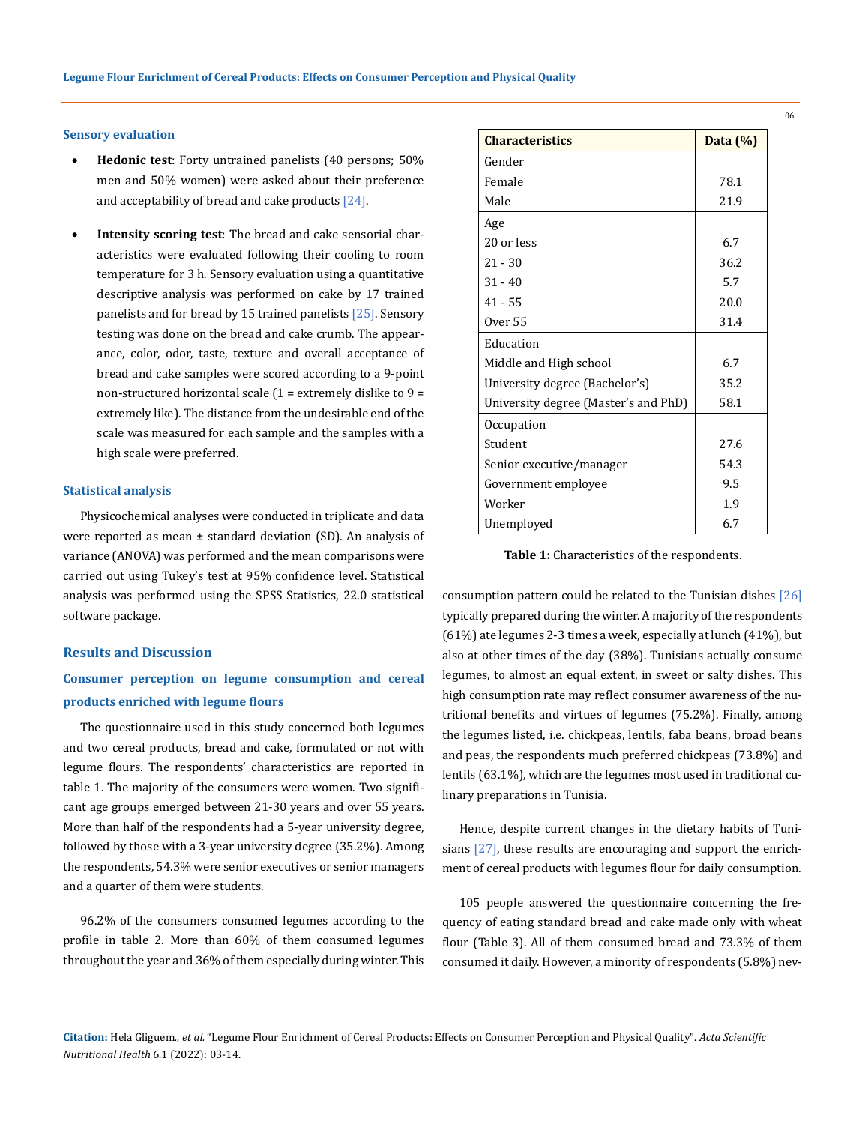#### **Sensory evaluation**

- **Hedonic test**: Forty untrained panelists (40 persons; 50%) men and 50% women) were asked about their preference and acceptability of bread and cake products [24].
- Intensity scoring test: The bread and cake sensorial characteristics were evaluated following their cooling to room temperature for 3 h. Sensory evaluation using a quantitative descriptive analysis was performed on cake by 17 trained panelists and for bread by 15 trained panelists [25]. Sensory testing was done on the bread and cake crumb. The appearance, color, odor, taste, texture and overall acceptance of bread and cake samples were scored according to a 9-point non-structured horizontal scale  $(1 =$  extremely dislike to  $9 =$ extremely like). The distance from the undesirable end of the scale was measured for each sample and the samples with a high scale were preferred.

#### **Statistical analysis**

Physicochemical analyses were conducted in triplicate and data were reported as mean  $\pm$  standard deviation (SD). An analysis of variance (ANOVA) was performed and the mean comparisons were carried out using Tukey's test at 95% confidence level. Statistical analysis was performed using the SPSS Statistics, 22.0 statistical software package.

#### **Results and Discussion**

## **Consumer perception on legume consumption and cereal products enriched with legume flours**

The questionnaire used in this study concerned both legumes and two cereal products, bread and cake, formulated or not with legume flours. The [respondents](https://context.reverso.net/traduction/anglais-francais/interviewees)' characteristics are reported in table 1. The majority of the consumers were women. Two significant age groups emerged between 21-30 years and over 55 years. More than half of the respondents had a 5-year university degree, followed by those with a 3-year university degree (35.2%). Among the respondents, 54.3% were senior executives or senior managers and a quarter of them were students.

96.2% of the consumers consumed legumes according to the profile in table 2. More than 60% of them consumed legumes [throughout the year](https://context.reverso.net/traduction/anglais-francais/throughout+the+year) and 36% of them especially during winter. This

| <b>Characteristics</b>               | Data $(\%)$ |
|--------------------------------------|-------------|
| Gender                               |             |
| Female                               | 78.1        |
| Male                                 | 21.9        |
| Age                                  |             |
| 20 or less                           | 6.7         |
| $21 - 30$                            | 36.2        |
| $31 - 40$                            | 5.7         |
| $41 - 55$                            | 20.0        |
| Over 55                              | 31.4        |
| Education                            |             |
| Middle and High school               | 6.7         |
| University degree (Bachelor's)       | 35.2        |
| University degree (Master's and PhD) | 58.1        |
| Occupation                           |             |
| Student                              | 27.6        |
| Senior executive/manager             | 54.3        |
| Government employee                  | 9.5         |
| Worker                               | 1.9         |
| Unemployed                           | 6.7         |

**Table 1:** Characteristics of the respondents.

consumption pattern could be related to the Tunisian dishes [26] typically prepared during the winter. A majority of the respondents (61%) ate legumes 2-3 times a week, especially at lunch (41%), but also at other times of the day (38%). Tunisians actually consume legumes, to almost an equal extent, in sweet or salty dishes. This high consumption rate may reflect consumer awareness of the nutritional benefits and virtues of legumes (75.2%). Finally, among the legumes listed, i.e. chickpeas, lentils, faba beans, broad beans and peas, the respondents much preferred chickpeas (73.8%) and lentils (63.1%), which are the legumes most used in traditional culinary preparations in Tunisia.

Hence, despite current changes in the dietary habits of Tunisians [27], these results are encouraging and support the enrichment of cereal products with legumes flour for daily consumption.

105 people answered the questionnaire concerning the frequency of eating standard bread and cake made only with wheat flour (Table 3). All of them consumed bread and 73.3% of them consumed it daily. However, a minority of respondents (5.8%) nev-

**Citation:** Hela Gliguem*., et al.* "Legume Flour Enrichment of Cereal Products: Effects on Consumer Perception and Physical Quality". *Acta Scientific Nutritional Health* 6.1 (2022): 03-14.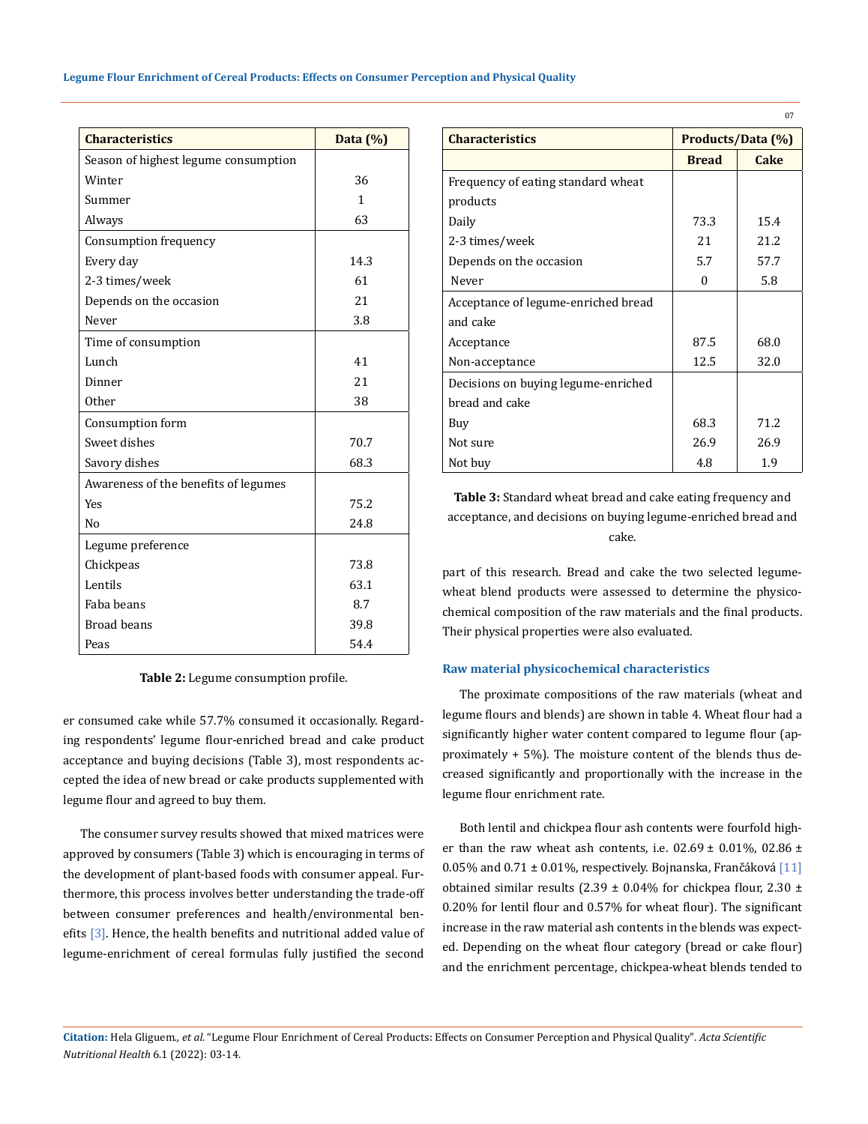| <b>Characteristics</b>               | Data $(\%)$  |
|--------------------------------------|--------------|
| Season of highest legume consumption |              |
| Winter                               | 36           |
| Summer                               | $\mathbf{1}$ |
| Always                               | 63           |
| Consumption frequency                |              |
| Every day                            | 14.3         |
| 2-3 times/week                       | 61           |
| Depends on the occasion              | 21           |
| Never                                | 3.8          |
| Time of consumption                  |              |
| Lunch                                | 41           |
| Dinner                               | 21           |
| 0ther                                | 38           |
| Consumption form                     |              |
| Sweet dishes                         | 70.7         |
| Savory dishes                        | 68.3         |
| Awareness of the benefits of legumes |              |
| <b>Yes</b>                           | 75.2         |
| N <sub>0</sub>                       | 24.8         |
| Legume preference                    |              |
| Chickpeas                            | 73.8         |
| Lentils                              | 63.1         |
| Faba beans                           | 8.7          |
| <b>Broad beans</b>                   | 39.8         |
| Peas                                 | 54.4         |

**Table 2:** Legume consumption profile.

er consumed cake while 57.7% consumed it [occasionally](https://context.reverso.net/traduction/anglais-francais/occasionally). Regarding respondents' legume flour-enriched bread and cake product acceptance and buying decisions (Table 3), most respondents accepted the idea of new bread or cake products supplemented with legume flour and agreed to buy them.

The consumer survey results showed that mixed matrices were approved by consumers (Table 3) which is encouraging in terms of the development of plant-based foods with consumer appeal. Furthermore, this process involves better understanding the trade-off between consumer preferences and health/environmental benefits [3]. Hence, the health benefits and nutritional added value of legume-enrichment of cereal formulas fully justified the second

| <b>Characteristics</b>              | Products/Data (%) |             |  |
|-------------------------------------|-------------------|-------------|--|
|                                     | <b>Bread</b>      | <b>Cake</b> |  |
| Frequency of eating standard wheat  |                   |             |  |
| products                            |                   |             |  |
| Daily                               | 73.3              | 15.4        |  |
| 2-3 times/week                      | 21                | 21.2        |  |
| Depends on the occasion             | 5.7               | 57.7        |  |
| Never                               | 0                 | 5.8         |  |
| Acceptance of legume-enriched bread |                   |             |  |
| and cake                            |                   |             |  |
| Acceptance                          | 87.5              | 68.0        |  |
| Non-acceptance                      | 12.5              | 32.0        |  |
| Decisions on buying legume-enriched |                   |             |  |
| bread and cake                      |                   |             |  |
| Buy                                 | 68.3              | 71.2        |  |
| Not sure                            | 26.9              | 26.9        |  |
| Not buy                             | 4.8               | 1.9         |  |

**Table 3:** Standard wheat bread and cake eating frequency and acceptance, and decisions on buying legume-enriched bread and cake.

part of this research. Bread and cake the two selected legumewheat blend products were assessed to determine the physicochemical composition of the raw materials and the final products. Their physical properties were also evaluated.

## **Raw material physicochemical characteristics**

The proximate compositions of the raw materials (wheat and legume flours and blends) are shown in table 4. Wheat flour had a significantly higher water content compared to legume flour (approximately + 5%). The moisture content of the blends thus decreased significantly and proportionally with the increase in the legume flour enrichment rate.

Both lentil and chickpea flour ash contents were fourfold higher than the raw wheat ash contents, i.e.  $02.69 \pm 0.01\%$ ,  $02.86 \pm 0.01\%$ 0.05% and 0.71  $\pm$  0.01%, respectively. Bojnanska, Frančáková [11] obtained similar results (2.39  $\pm$  0.04% for chickpea flour, 2.30  $\pm$ 0.20% for lentil flour and 0.57% for wheat flour). The significant increase in the raw material ash contents in the blends was expected. Depending on the wheat flour category (bread or cake flour) and the enrichment percentage, chickpea-wheat blends tended to

**Citation:** Hela Gliguem*., et al.* "Legume Flour Enrichment of Cereal Products: Effects on Consumer Perception and Physical Quality". *Acta Scientific Nutritional Health* 6.1 (2022): 03-14.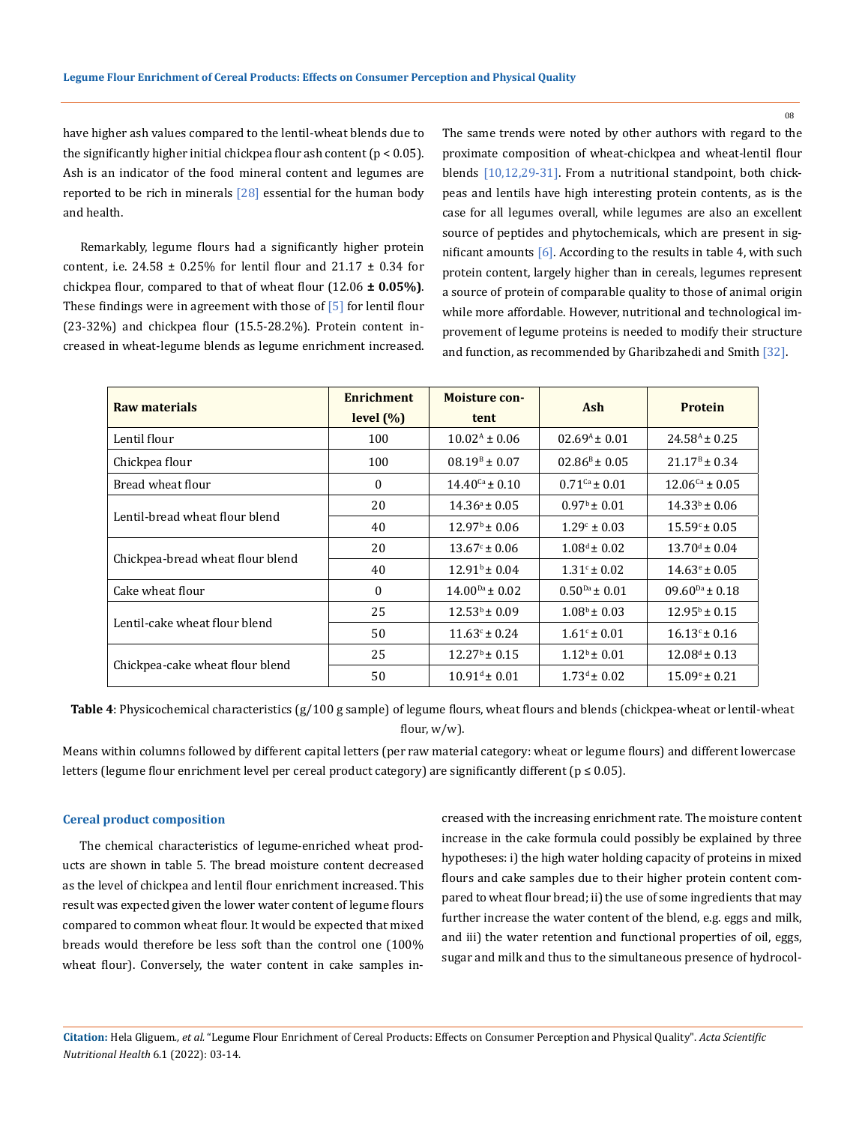have higher ash values compared to the lentil-wheat blends due to the significantly higher initial chickpea flour ash content ( $p < 0.05$ ). Ash is an indicator of the food mineral content and legumes are reported to be rich in minerals  $[28]$  essential for the human body and health.

Remarkably, legume flours had a significantly higher protein content, i.e. 24.58  $\pm$  0.25% for lentil flour and 21.17  $\pm$  0.34 for chickpea flour, compared to that of wheat flour (12.06 **± 0.05%)**. These findings were in agreement with those of [5] for lentil flour (23-32%) and chickpea flour (15.5-28.2%). Protein content increased in wheat-legume blends as legume enrichment increased. The same trends were noted by other authors with regard to the proximate composition of wheat-chickpea and wheat-lentil flour blends [10,12,29-31]. From a nutritional standpoint, both chickpeas and lentils have high interesting protein contents, as is the case for all legumes overall, while legumes are also an excellent source of peptides and phytochemicals, which are present in significant amounts  $[6]$ . According to the results in table 4, with such protein content, largely higher than in cereals, legumes represent a source of protein of comparable quality to those of animal origin while more affordable. However, nutritional and technological improvement of legume proteins is needed to modify their structure and function, as recommended by Gharibzahedi and Smith [32].

| <b>Raw materials</b>             | <b>Enrichment</b><br>level $(\%)$ | <b>Moisture con-</b><br>tent                               | Ash                         | <b>Protein</b>              |
|----------------------------------|-----------------------------------|------------------------------------------------------------|-----------------------------|-----------------------------|
| Lentil flour                     | 100                               | $10.02^{\text{A}} \pm 0.06$                                | $02.69A \pm 0.01$           | $24.58^{A} \pm 0.25$        |
| Chickpea flour                   | 100                               | $08.19^{\text{B}} \pm 0.07$<br>$02.86^{\text{B}} \pm 0.05$ |                             | $21.17^{\rm B} \pm 0.34$    |
| Bread wheat flour                | $\theta$                          | $14.40^{Ca} \pm 0.10$                                      | $0.71$ <sup>Ca</sup> ± 0.01 | $12.06^{Ca} \pm 0.05$       |
| Lentil-bread wheat flour blend   | 20                                | $14.36^a \pm 0.05$                                         | $0.97^{\rm b} \pm 0.01$     | $14.33^{b} \pm 0.06$        |
|                                  | 40                                | $12.97^{\rm b} \pm 0.06$                                   | $1.29^{\circ} \pm 0.03$     | $15.59^{\circ} \pm 0.05$    |
|                                  | 20                                | $13.67^{\circ}$ ± 0.06                                     | $1.08^d \pm 0.02$           | $13.70^{\text{d}} \pm 0.04$ |
| Chickpea-bread wheat flour blend | 40                                | $12.91b \pm 0.04$                                          | $1.31^{\circ}$ ± 0.02       | $14.63^{\circ} \pm 0.05$    |
| Cake wheat flour                 | $\mathbf{0}$                      | $14.00^{Da} \pm 0.02$                                      | $0.50^{Da} \pm 0.01$        | $09.60^{Da} \pm 0.18$       |
|                                  | 25                                | $12.53b \pm 0.09$                                          | $1.08^b \pm 0.03$           | $12.95^{\rm b}$ ± 0.15      |
| Lentil-cake wheat flour blend    | 50                                | $11.63^{\circ}$ ± 0.24                                     | $1.61^{\circ}$ ± 0.01       | $16.13^{\circ}$ ± 0.16      |
|                                  | 25                                | $12.27^{\rm b}$ ± 0.15                                     | $1.12^b \pm 0.01$           | $12.08^d \pm 0.13$          |
| Chickpea-cake wheat flour blend  | 50                                | $10.91^{\text{d}} \pm 0.01$                                | $1.73^d \pm 0.02$           | $15.09^{\circ} \pm 0.21$    |

**Table 4**: Physicochemical characteristics (g/100 g sample) of legume flours, wheat flours and blends (chickpea-wheat or lentil-wheat flour, w/w).

Means within columns followed by different capital letters (per raw material category: wheat or legume flours) and different lowercase letters (legume flour enrichment level per cereal product category) are significantly different (p ≤ 0.05).

#### **Cereal product composition**

The chemical characteristics of legume-enriched wheat products are shown in table 5. The bread moisture content decreased as the level of chickpea and lentil flour enrichment increased. This result was expected given the lower water content of legume flours compared to common wheat flour. It would be expected that mixed breads would therefore be less soft than the control one (100% wheat flour). Conversely, the water content in cake samples increased with the increasing enrichment rate. The moisture content increase in the cake formula could possibly be explained by three hypotheses: i) the high water holding capacity of proteins in mixed flours and cake samples due to their higher protein content compared to wheat flour bread; ii) the use of some ingredients that may further increase the water content of the blend, e.g. eggs and milk, and iii) the water retention and functional properties of oil, eggs, sugar and milk and thus to the simultaneous presence of hydrocol-

**Citation:** Hela Gliguem*., et al.* "Legume Flour Enrichment of Cereal Products: Effects on Consumer Perception and Physical Quality". *Acta Scientific Nutritional Health* 6.1 (2022): 03-14.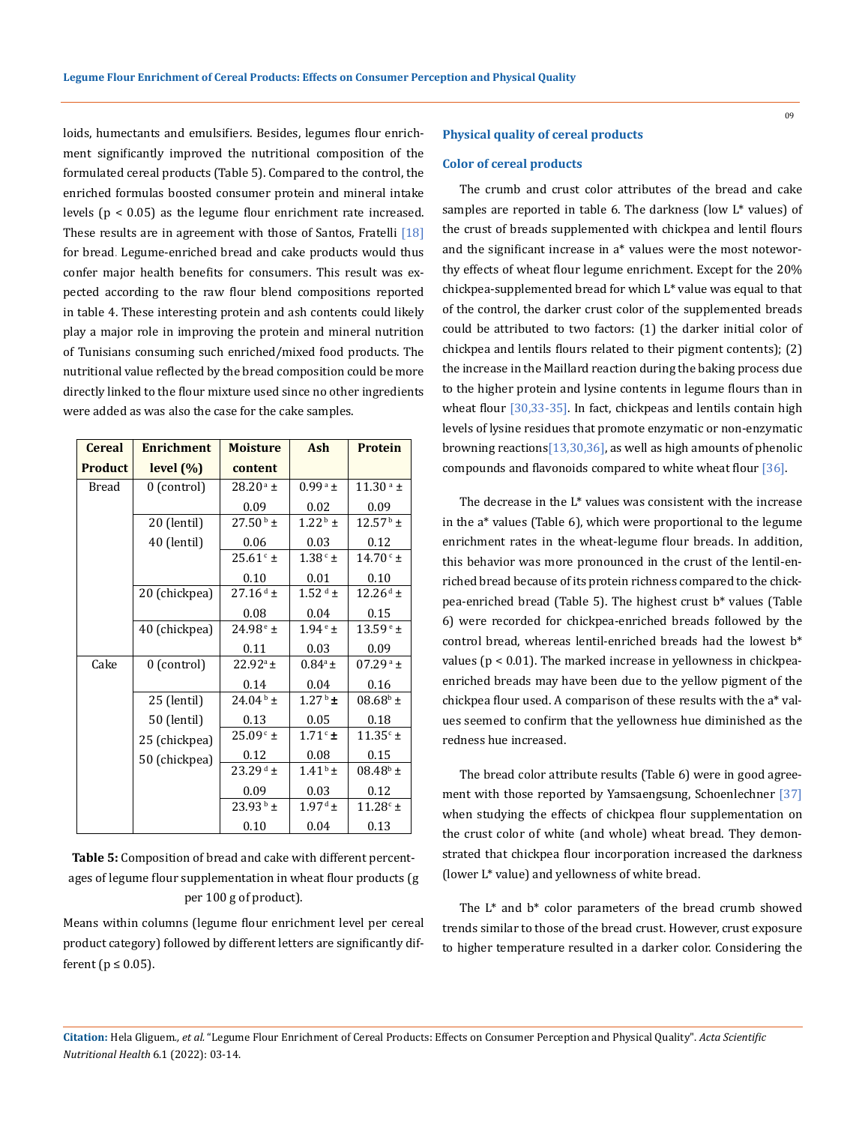loids, humectants and emulsifiers. Besides, legumes flour enrichment significantly improved the nutritional composition of the formulated cereal products (Table 5). Compared to the control, the enriched formulas boosted consumer protein and mineral intake levels (p < 0.05) as the legume flour enrichment rate increased. These results are in agreement with those of Santos, Fratelli  $[18]$ for bread. Legume-enriched bread and cake products would thus confer major health benefits for consumers. This result was expected according to the raw flour blend compositions reported in table 4. These interesting protein and ash contents could likely play a major role in improving the protein and mineral nutrition of Tunisians consuming such enriched/mixed food products. The nutritional value reflected by the bread composition could be more directly linked to the flour mixture used since no other ingredients were added as was also the case for the cake samples.

| <b>Cereal</b>  | <b>Enrichment</b> | <b>Moisture</b>      | Ash                   | <b>Protein</b>           |
|----------------|-------------------|----------------------|-----------------------|--------------------------|
| <b>Product</b> | level(%)          | content              |                       |                          |
| Bread          | 0 (control)       | $28.20^{\text{a}}$ ± | $0.99^{\rm a}$ ±      | $11.30^{\text{ a}}$ ±    |
|                |                   | 0.09                 | 0.02                  | 0.09                     |
|                | 20 (lentil)       | $27.50^{\,\rm b}$ ±  | $1.22^{\mathrm{b}}$ ± | $12.57^{\,\mathrm{b}}$ ± |
|                | 40 (lentil)       | 0.06                 | 0.03                  | 0.12                     |
|                |                   | $25.61c$ ±           | $1.38^{\rm\,c}$ $\pm$ | $14.70^{\circ}$ ±        |
|                |                   | 0.10                 | 0.01                  | 0.10                     |
|                | 20 (chickpea)     | $27.16^{d}$ ±        | $1.52$ <sup>d</sup> ± | $12.26^{\mathrm{d}}$ ±   |
|                |                   | 0.08                 | 0.04                  | 0.15                     |
|                | 40 (chickpea)     | $24.98^{\circ}$ ±    | $1.94^{\circ}$ ±      | $13.59e$ ±               |
|                |                   | 0.11                 | 0.03                  | 0.09                     |
| Cake           | 0 (control)       | $22.92^a \pm$        | $0.84^a \pm$          | $07.29^{\text{a}}$ ±     |
|                |                   | 0.14                 | 0.04                  | 0.16                     |
|                | 25 (lentil)       | $24.04^{\rm b}$ ±    | $1.27^{\rm b}$ ±      | $08.68^{\rm b}$ ±        |
|                | 50 (lentil)       | 0.13                 | 0.05                  | 0.18                     |
|                | 25 (chickpea)     | $25.09c$ ±           | $1.71^\circ$ ±        | $11.35c \pm$             |
|                | 50 (chickpea)     | 0.12                 | 0.08                  | 0.15                     |
|                |                   | $23.29^{d}$ ±        | $1.41^{\rm b}$ ±      | $08.48^{\rm b}$ ±        |
|                |                   | 0.09                 | 0.03                  | 0.12                     |
|                |                   | $23.93^{\circ}$ ±    | $1.97^{\text{ d}}$ ±  | $11.28c \pm$             |
|                |                   | 0.10                 | 0.04                  | 0.13                     |

**Table 5:** Composition of bread and cake with different percentages of legume flour supplementation in wheat flour products (g per 100 g of product).

Means within columns (legume flour enrichment level per cereal product category) followed by different letters are significantly different ( $p \leq 0.05$ ).

#### **Physical quality of cereal products**

#### **Color of cereal products**

The crumb and crust color attributes of the bread and cake samples are reported in table 6. The darkness (low L\* values) of the crust of breads supplemented with chickpea and lentil flours and the significant increase in a\* values were the most noteworthy effects of wheat flour legume enrichment. Except for the 20% chickpea-supplemented bread for which L\* value was equal to that of the control, the darker crust color of the supplemented breads could be attributed to two factors: (1) the darker initial color of chickpea and lentils flours related to their pigment contents); (2) the increase in the Maillard reaction during the baking process due to the higher protein and lysine contents in legume flours than in wheat flour [30,33-35]. In fact, chickpeas and lentils contain high levels of lysine residues that promote enzymatic or non-enzymatic browning reactions[13,30,36], as well as high amounts of phenolic compounds and flavonoids compared to white wheat flour [36].

The decrease in the L\* values was consistent with the increase in the a\* values (Table 6), which were proportional to the legume enrichment rates in the wheat-legume flour breads. In addition, this behavior was more pronounced in the crust of the lentil-enriched bread because of its protein richness compared to the chickpea-enriched bread (Table 5). The highest crust b\* values (Table 6) were recorded for chickpea-enriched breads followed by the control bread, whereas lentil-enriched breads had the lowest b\* values (p < 0.01). The marked increase in yellowness in chickpeaenriched breads may have been due to the yellow pigment of the chickpea flour used. A comparison of these results with the a\* values seemed to confirm that the yellowness hue diminished as the redness hue increased.

The bread color attribute results (Table 6) were in good agreement with those reported by Yamsaengsung, Schoenlechner [37] when studying the effects of chickpea flour supplementation on the crust color of white (and whole) wheat bread. They demonstrated that chickpea flour incorporation increased the darkness (lower L\* value) and yellowness of white bread.

The L\* and b\* color parameters of the bread crumb showed trends similar to those of the bread crust. However, crust exposure to higher temperature resulted in a darker color. Considering the

**Citation:** Hela Gliguem*., et al.* "Legume Flour Enrichment of Cereal Products: Effects on Consumer Perception and Physical Quality". *Acta Scientific Nutritional Health* 6.1 (2022): 03-14.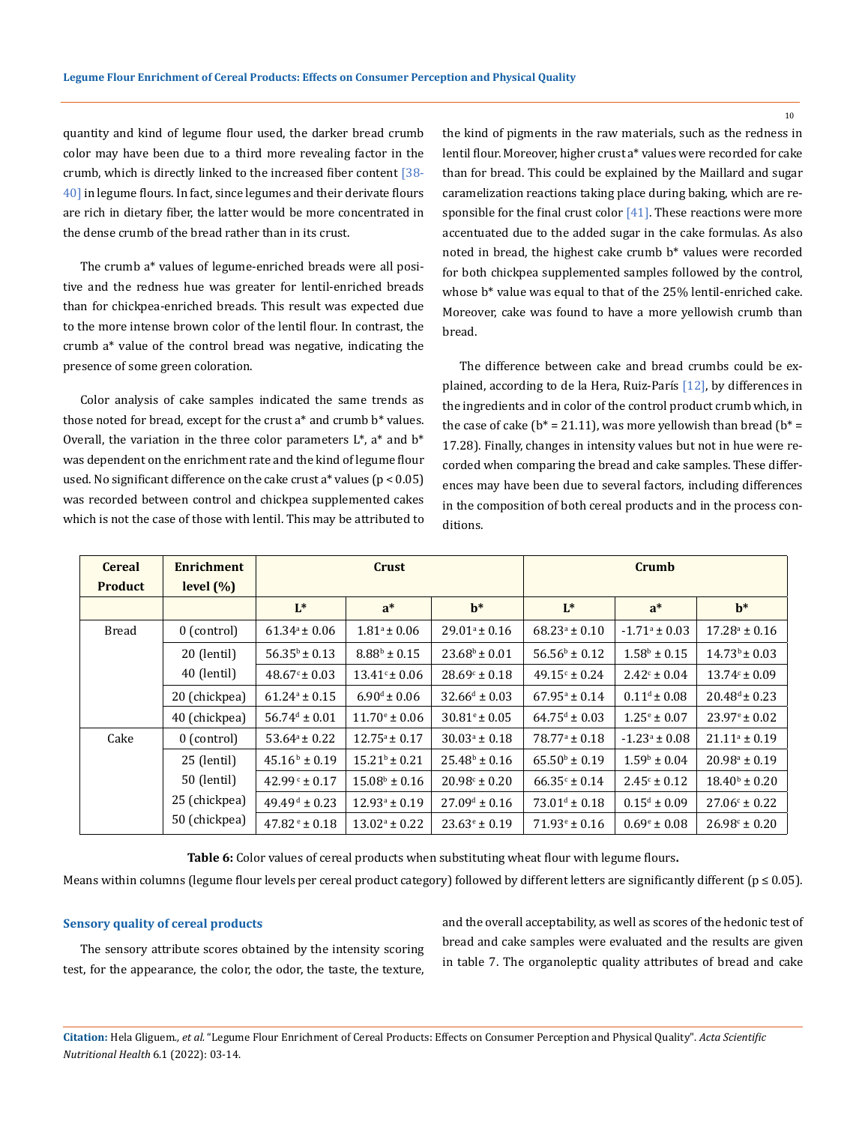quantity and kind of legume flour used, the darker bread crumb color may have been due to a third more revealing factor in the crumb, which is directly linked to the increased fiber content  $\sqrt{38}$ -40] in legume flours. In fact, since legumes and their derivate flours are rich in dietary fiber, the latter would be more concentrated in the dense crumb of the bread rather than in its crust.

The crumb a\* values of legume-enriched breads were all positive and the redness hue was greater for lentil-enriched breads than for chickpea-enriched breads. This result was expected due to the more intense brown color of the lentil flour. In contrast, the crumb a\* value of the control bread was negative, indicating the presence of some green coloration.

Color analysis of cake samples indicated the same trends as those noted for bread, except for the crust a\* and crumb b\* values. Overall, the variation in the three color parameters  $L^*$ , a\* and  $b^*$ was dependent on the enrichment rate and the kind of legume flour used. No significant difference on the cake crust a\* values (p < 0.05) was recorded between control and chickpea supplemented cakes which is not the case of those with lentil. This may be attributed to the kind of pigments in the raw materials, such as the redness in lentil flour. Moreover, higher crust a\* values were recorded for cake than for bread. This could be explained by the Maillard and sugar caramelization reactions taking place during baking, which are responsible for the final crust color [41]. These reactions were more accentuated due to the added sugar in the cake formulas. As also noted in bread, the highest cake crumb b\* values were recorded for both chickpea supplemented samples followed by the control, whose b\* value was equal to that of the 25% lentil-enriched cake. Moreover, cake was found to have a more yellowish crumb than bread.

The difference between cake and bread crumbs could be explained, according to de la Hera, Ruiz-París [12], by differences in the ingredients and in color of the control product crumb which, in the case of cake ( $b^* = 21.11$ ), was more yellowish than bread ( $b^* =$ 17.28). Finally, changes in intensity values but not in hue were recorded when comparing the bread and cake samples. These differences may have been due to several factors, including differences in the composition of both cereal products and in the process conditions.

| <b>Cereal</b>  | <b>Enrichment</b> | Crust                        |                          |                          | Crumb                       |                          |                          |
|----------------|-------------------|------------------------------|--------------------------|--------------------------|-----------------------------|--------------------------|--------------------------|
| <b>Product</b> | level $(\%)$      |                              |                          |                          |                             |                          |                          |
|                |                   | $L^*$                        | $a^*$                    | $h^*$                    | $L^*$                       | $a^*$                    | $h^*$                    |
| <b>Bread</b>   | $0$ (control)     | $61.34^{\circ} \pm 0.06$     | $1.81^a \pm 0.06$        | $29.01^{\circ} \pm 0.16$ | $68.23^{\circ} \pm 0.10$    | $-1.71^{\circ} \pm 0.03$ | $17.28^a \pm 0.16$       |
|                | 20 (lentil)       | $56.35^{\circ} \pm 0.13$     | $8.88^{\rm b} \pm 0.15$  | $23.68^{\circ} \pm 0.01$ | $56.56^{\circ} \pm 0.12$    | $1.58^b \pm 0.15$        | $14.73^b \pm 0.03$       |
|                | 40 (lentil)       | $48.67^{\circ} \pm 0.03$     | $13.41^{\circ} \pm 0.06$ | $28.69^{\circ} \pm 0.18$ | $49.15^{\circ} \pm 0.24$    | $2.42^{\circ} \pm 0.04$  | $13.74c \pm 0.09$        |
|                | 20 (chickpea)     | $61.24^a \pm 0.15$           | $6.90^{\rm d} \pm 0.06$  | $32.66^d \pm 0.03$       | $67.95^{\circ} \pm 0.14$    | $0.11^d \pm 0.08$        | $20.48^d \pm 0.23$       |
|                | 40 (chickpea)     | $56.74^{\text{d}} \pm 0.01$  | $11.70^{\circ} \pm 0.06$ | $30.81^{\circ} \pm 0.05$ | $64.75^{\text{d}} \pm 0.03$ | $1.25^{\circ} \pm 0.07$  | $23.97^{\circ} \pm 0.02$ |
| Cake           | $0$ (control)     | $53.64^a \pm 0.22$           | $12.75^{\circ} \pm 0.17$ | $30.03^{\circ} \pm 0.18$ | $78.77^{\circ} \pm 0.18$    | $-1.23^{\circ} \pm 0.08$ | $21.11^a \pm 0.19$       |
|                | $25$ (lentil)     | $45.16^{\circ} \pm 0.19$     | $15.21^{\circ} \pm 0.21$ | $25.48^b \pm 0.16$       | $65.50^{\circ} \pm 0.19$    | $1.59^{\rm b} \pm 0.04$  | $20.98^{\circ} \pm 0.19$ |
|                | 50 (lentil)       | $42.99^{\circ} \pm 0.17$     | $15.08^{\circ} \pm 0.16$ | $20.98^{\circ} \pm 0.20$ | $66.35^{\circ} \pm 0.14$    | $2.45^{\circ} \pm 0.12$  | $18.40^{\circ} \pm 0.20$ |
|                | 25 (chickpea)     | $49.49^{\text{ d}} \pm 0.23$ | $12.93^a \pm 0.19$       | $27.09^d \pm 0.16$       | $73.01^{\text{d}} \pm 0.18$ | $0.15^d \pm 0.09$        | $27.06^{\circ} \pm 0.22$ |
|                | 50 (chickpea)     | $47.82e^{\pm}0.18$           | $13.02^a \pm 0.22$       | $23.63^{\circ} \pm 0.19$ | $71.93^{\circ} \pm 0.16$    | $0.69^{\circ} \pm 0.08$  | $26.98^{\circ} \pm 0.20$ |

**Table 6:** Color values of cereal products when substituting wheat flour with legume flours**.**

Means within columns (legume flour levels per cereal product category) followed by different letters are significantly different (p ≤ 0.05).

#### **Sensory quality of cereal products**

The sensory attribute scores obtained by the intensity scoring test, for the appearance, the color, the odor, the taste, the texture, and the overall acceptability, as well as scores of the hedonic test of bread and cake samples were evaluated and the results are given in table 7. The organoleptic quality attributes of bread and cake

**Citation:** Hela Gliguem*., et al.* "Legume Flour Enrichment of Cereal Products: Effects on Consumer Perception and Physical Quality". *Acta Scientific Nutritional Health* 6.1 (2022): 03-14.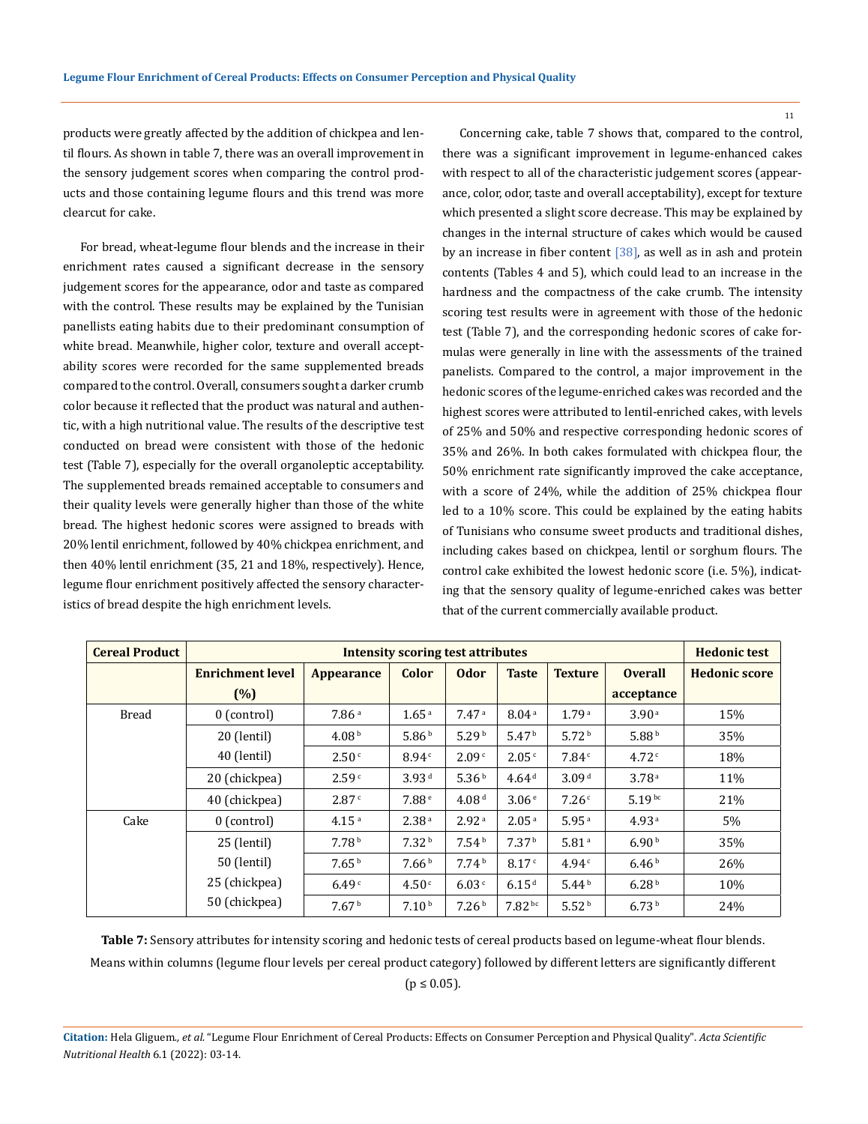products were greatly affected by the addition of chickpea and lentil flours. As shown in table 7, there was an overall improvement in the sensory judgement scores when comparing the control products and those containing legume flours and this trend was more clearcut for cake.

For bread, wheat-legume flour blends and the increase in their enrichment rates caused a significant decrease in the sensory judgement scores for the appearance, odor and taste as compared with the control. These results may be explained by the Tunisian panellists eating habits due to their predominant consumption of white bread. Meanwhile, higher color, texture and overall acceptability scores were recorded for the same supplemented breads compared to the control. Overall, consumers sought a darker crumb color because it reflected that the product was natural and authentic, with a high nutritional value. The results of the descriptive test conducted on bread were consistent with those of the hedonic test (Table 7), especially for the overall organoleptic acceptability. The supplemented breads remained acceptable to consumers and their quality levels were generally higher than those of the white bread. The highest hedonic scores were assigned to breads with 20% lentil enrichment, followed by 40% chickpea enrichment, and then 40% lentil enrichment (35, 21 and 18%, respectively). Hence, legume flour enrichment positively affected the sensory characteristics of bread despite the high enrichment levels.

Concerning cake, table 7 shows that, compared to the control, there was a significant improvement in legume-enhanced cakes with respect to all of the characteristic judgement scores (appearance, color, odor, taste and overall acceptability), except for texture which presented a slight score decrease. This may be explained by changes in the internal structure of cakes which would be caused by an increase in fiber content  $[38]$ , as well as in ash and protein contents (Tables 4 and 5), which could lead to an increase in the hardness and the compactness of the cake crumb. The intensity scoring test results were in agreement with those of the hedonic test (Table 7), and the corresponding hedonic scores of cake formulas were generally in line with the assessments of the trained panelists. Compared to the control, a major improvement in the hedonic scores of the legume-enriched cakes was recorded and the highest scores were attributed to lentil-enriched cakes, with levels of 25% and 50% and respective corresponding hedonic scores of 35% and 26%. In both cakes formulated with chickpea flour, the 50% enrichment rate significantly improved the cake acceptance, with a score of 24%, while the addition of 25% chickpea flour led to a 10% score. This could be explained by the eating habits of Tunisians who consume sweet products and traditional dishes, including cakes based on chickpea, lentil or sorghum flours. The control cake exhibited the lowest hedonic score (i.e. 5%), indicating that the sensory quality of legume-enriched cakes was better that of the current commercially available product.

| <b>Cereal Product</b> | <b>Intensity scoring test attributes</b> |                   |                   |                   |                    | <b>Hedonic test</b> |                   |                      |
|-----------------------|------------------------------------------|-------------------|-------------------|-------------------|--------------------|---------------------|-------------------|----------------------|
|                       | <b>Enrichment level</b>                  | <b>Appearance</b> | <b>Color</b>      | <b>Odor</b>       | <b>Taste</b>       | <b>Texture</b>      | <b>Overall</b>    | <b>Hedonic score</b> |
|                       | (%)                                      |                   |                   |                   |                    |                     | acceptance        |                      |
| <b>Bread</b>          | 0 (control)                              | 7.86 <sup>a</sup> | 1.65 <sup>a</sup> | 7.47 <sup>a</sup> | 8.04 <sup>a</sup>  | 1.79 <sup>a</sup>   | 3.90 <sup>a</sup> | 15%                  |
|                       | 20 (lentil)                              | 4.08 <sup>b</sup> | 5.86 <sup>b</sup> | 5.29 <sup>b</sup> | 5.47 <sup>b</sup>  | 5.72 <sup>b</sup>   | 5.88 <sup>b</sup> | 35%                  |
|                       | 40 (lentil)                              | 2.50 <sup>c</sup> | 8.94c             | 2.09 <sup>c</sup> | 2.05c              | 7.84c               | 4.72c             | 18%                  |
|                       | 20 (chickpea)                            | 2.59 <sup>c</sup> | 3.93 <sup>d</sup> | 5.36 <sup>b</sup> | 4.64 <sup>d</sup>  | 3.09 <sup>d</sup>   | 3.78 <sup>a</sup> | 11%                  |
|                       | 40 (chickpea)                            | 2.87c             | 7.88 <sup>e</sup> | 4.08 <sup>d</sup> | 3.06 <sup>e</sup>  | 7.26c               | $5.19^{bc}$       | 21%                  |
| Cake                  | $0$ (control)                            | 4.15 <sup>a</sup> | 2.38 <sup>a</sup> | 2.92 <sup>a</sup> | 2.05 <sup>a</sup>  | 5.95 <sup>a</sup>   | 4.93 <sup>a</sup> | 5%                   |
|                       | 25 (lentil)                              | 7.78 <sup>b</sup> | 7.32 <sup>b</sup> | 7.54 <sup>b</sup> | 7.37 <sup>b</sup>  | 5.81 <sup>a</sup>   | 6.90 <sup>b</sup> | 35%                  |
|                       | 50 (lentil)                              | 7.65 <sup>b</sup> | 7.66 <sup>b</sup> | 7.74 <sup>b</sup> | 8.17c              | 4.94c               | 6.46 <sup>b</sup> | 26%                  |
|                       | 25 (chickpea)                            | 6.49 <sup>c</sup> | 4.50 <sup>c</sup> | 6.03c             | 6.15 <sup>d</sup>  | 5.44 <sup>b</sup>   | 6.28 <sup>b</sup> | 10%                  |
|                       | 50 (chickpea)                            | 7.67 <sup>b</sup> | 7.10 <sup>b</sup> | 7.26 <sup>b</sup> | 7.82 <sup>bc</sup> | 5.52 <sup>b</sup>   | 6.73 <sup>b</sup> | 24%                  |

**Table 7:** Sensory attributes for intensity scoring and hedonic tests of cereal products based on legume-wheat flour blends. Means within columns (legume flour levels per cereal product category) followed by different letters are significantly different  $(p \le 0.05)$ .

**Citation:** Hela Gliguem*., et al.* "Legume Flour Enrichment of Cereal Products: Effects on Consumer Perception and Physical Quality". *Acta Scientific Nutritional Health* 6.1 (2022): 03-14.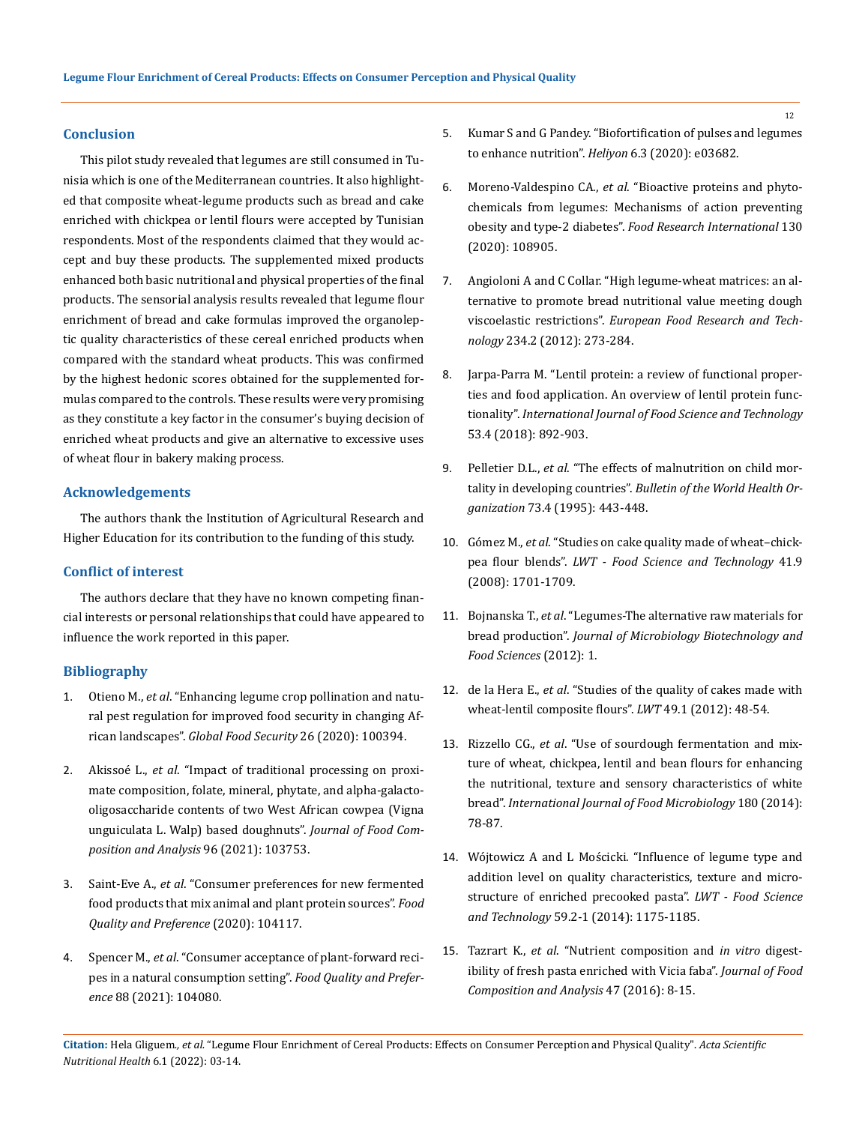#### **Conclusion**

This pilot study revealed that legumes are still consumed in Tunisia which is one of the Mediterranean countries. It also highlighted that composite wheat-legume products such as bread and cake enriched with chickpea or lentil flours were accepted by Tunisian respondents. Most of the respondents claimed that they would accept and buy these products. The supplemented mixed products enhanced both basic nutritional and physical properties of the final products. The sensorial analysis results revealed that legume flour enrichment of bread and cake formulas improved the organoleptic quality characteristics of these cereal enriched products when compared with the standard wheat products. This was confirmed by the highest hedonic scores obtained for the supplemented formulas compared to the controls. These results were very promising as they constitute a key factor in the consumer's buying decision of enriched wheat products and give an alternative to excessive uses of wheat flour in bakery making process.

## **Acknowledgements**

The authors thank the Institution of Agricultural Research and Higher Education for its contribution to the funding of this study.

### **Conflict of interest**

The authors declare that they have no known competing financial interests or personal relationships that could have appeared to influence the work reported in this paper.

## **Bibliography**

- 1. Otieno M., *et al*[. "Enhancing legume crop pollination and natu](https://www.sciencedirect.com/science/article/abs/pii/S2211912420300481)[ral pest regulation for improved food security in changing Af](https://www.sciencedirect.com/science/article/abs/pii/S2211912420300481)rican landscapes". *[Global Food Security](https://www.sciencedirect.com/science/article/abs/pii/S2211912420300481)* 26 (2020): 100394.
- 2. Akissoé L., *et al*[. "Impact of traditional processing on proxi](https://www.sciencedirect.com/science/article/abs/pii/S0889157520314587)[mate composition, folate, mineral, phytate, and alpha-galacto](https://www.sciencedirect.com/science/article/abs/pii/S0889157520314587)[oligosaccharide contents of two West African cowpea \(Vigna](https://www.sciencedirect.com/science/article/abs/pii/S0889157520314587)  [unguiculata L. Walp\) based doughnuts".](https://www.sciencedirect.com/science/article/abs/pii/S0889157520314587) *Journal of Food Com[position and Analysis](https://www.sciencedirect.com/science/article/abs/pii/S0889157520314587)* 96 (2021): 103753.
- 3. Saint-Eve A., *et al*[. "Consumer preferences for new fermented](https://www.sciencedirect.com/science/article/pii/S0950329320303864)  [food products that mix animal and plant protein sources".](https://www.sciencedirect.com/science/article/pii/S0950329320303864) *Food [Quality and Preference](https://www.sciencedirect.com/science/article/pii/S0950329320303864)* (2020): 104117.
- 4. Spencer M., *et al*[. "Consumer acceptance of plant-forward reci](https://www.researchgate.net/publication/346784791_Consumer_acceptance_of_plant-forward_recipes_in_a_natural_consumption_setting)[pes in a natural consumption setting".](https://www.researchgate.net/publication/346784791_Consumer_acceptance_of_plant-forward_recipes_in_a_natural_consumption_setting) *Food Quality and Preference* [88 \(2021\): 104080.](https://www.researchgate.net/publication/346784791_Consumer_acceptance_of_plant-forward_recipes_in_a_natural_consumption_setting)
- 5. [Kumar S and G Pandey. "Biofortification of pulses and legumes](https://www.sciencedirect.com/science/article/pii/S2405844020305272)  [to enhance nutrition".](https://www.sciencedirect.com/science/article/pii/S2405844020305272) *Heliyon* 6.3 (2020): e03682.
- 6. Moreno-Valdespino CA., *et al*[. "Bioactive proteins and phyto](https://www.sciencedirect.com/science/article/abs/pii/S0963996919307914)[chemicals from legumes: Mechanisms of action preventing](https://www.sciencedirect.com/science/article/abs/pii/S0963996919307914)  obesity and type-2 diabetes". *[Food Research International](https://www.sciencedirect.com/science/article/abs/pii/S0963996919307914)* 130 [\(2020\): 108905.](https://www.sciencedirect.com/science/article/abs/pii/S0963996919307914)
- 7. [Angioloni A and C Collar. "High legume-wheat matrices: an al](https://link.springer.com/article/10.1007/s00217-011-1637-z)[ternative to promote bread nutritional value meeting dough](https://link.springer.com/article/10.1007/s00217-011-1637-z)  viscoelastic restrictions". *[European Food Research and](https://link.springer.com/article/10.1007/s00217-011-1637-z) Technology* [234.2 \(2012\): 273-284.](https://link.springer.com/article/10.1007/s00217-011-1637-z)
- 8. [Jarpa-Parra M. "Lentil protein: a review of functional proper](https://ifst.onlinelibrary.wiley.com/doi/full/10.1111/ijfs.13685)[ties and food application. An overview of lentil protein func](https://ifst.onlinelibrary.wiley.com/doi/full/10.1111/ijfs.13685)tionality". *[International Journal of Food Science and Technology](https://ifst.onlinelibrary.wiley.com/doi/full/10.1111/ijfs.13685)* [53.4 \(2018\): 892-903.](https://ifst.onlinelibrary.wiley.com/doi/full/10.1111/ijfs.13685)
- 9. Pelletier D.L., *et al*[. "The effects of malnutrition on child mor](https://pubmed.ncbi.nlm.nih.gov/7554015/)tality in developing countries". *[Bulletin of the World Health Or](https://pubmed.ncbi.nlm.nih.gov/7554015/)ganization* [73.4 \(1995\): 443-448.](https://pubmed.ncbi.nlm.nih.gov/7554015/)
- 10. Gómez M., *et al*[. "Studies on cake quality made of wheat–chick](https://www.sciencedirect.com/science/article/pii/S0023643807003805)pea flour blends". *LWT - Food [Science and Technology](https://www.sciencedirect.com/science/article/pii/S0023643807003805)* 41.9 [\(2008\): 1701-1709.](https://www.sciencedirect.com/science/article/pii/S0023643807003805)
- 11. Bojnanska T., *et al*[. "Legumes-The alternative raw materials for](https://www.researchgate.net/publication/266886484_Legumes-The_alternative_raw_materials_for_bread_production)  bread production". *Journal of [Microbiology Biotechnology and](https://www.researchgate.net/publication/266886484_Legumes-The_alternative_raw_materials_for_bread_production)  [Food Sciences](https://www.researchgate.net/publication/266886484_Legumes-The_alternative_raw_materials_for_bread_production)* (2012): 1.
- 12. de la Hera E., *et al*[. "Studies of the quality of cakes made with](https://www.sciencedirect.com/science/article/abs/pii/S0023643812002265)  [wheat-lentil composite flours".](https://www.sciencedirect.com/science/article/abs/pii/S0023643812002265) *LWT* 49.1 (2012): 48-54.
- 13. Rizzello CG., *et al*[. "Use of sourdough fermentation and mix](https://pubmed.ncbi.nlm.nih.gov/24794619/)[ture of wheat, chickpea, lentil and bean flours for enhancing](https://pubmed.ncbi.nlm.nih.gov/24794619/)  [the nutritional, texture and sensory characteristics of white](https://pubmed.ncbi.nlm.nih.gov/24794619/)  bread". *[International Journal of Food Microbiology](https://pubmed.ncbi.nlm.nih.gov/24794619/)* 180 (2014): [78-87.](https://pubmed.ncbi.nlm.nih.gov/24794619/)
- 14. [Wójtowicz A and L Mościcki. "Influence of legume type and](https://www.sciencedirect.com/science/article/abs/pii/S0023643814003636)  [addition level on quality characteristics, texture and micro](https://www.sciencedirect.com/science/article/abs/pii/S0023643814003636)[structure of enriched precooked pasta".](https://www.sciencedirect.com/science/article/abs/pii/S0023643814003636) *LWT - Food Science and Technology* [59.2-1 \(2014\): 1175-1185.](https://www.sciencedirect.com/science/article/abs/pii/S0023643814003636)
- 15. Tazrart K., *et al*[. "Nutrient composition and](https://www.researchgate.net/publication/290510337_Nutrient_composition_and_in_vitro_digestibility_of_fresh_pasta_enriched_with_Vicia_faba) *in vitro* digest[ibility of fresh pasta enriched with Vicia faba".](https://www.researchgate.net/publication/290510337_Nutrient_composition_and_in_vitro_digestibility_of_fresh_pasta_enriched_with_Vicia_faba) *Journal of Food [Composition and Analysis](https://www.researchgate.net/publication/290510337_Nutrient_composition_and_in_vitro_digestibility_of_fresh_pasta_enriched_with_Vicia_faba)* 47 (2016): 8-15.

**Citation:** Hela Gliguem*., et al.* "Legume Flour Enrichment of Cereal Products: Effects on Consumer Perception and Physical Quality". *Acta Scientific Nutritional Health* 6.1 (2022): 03-14.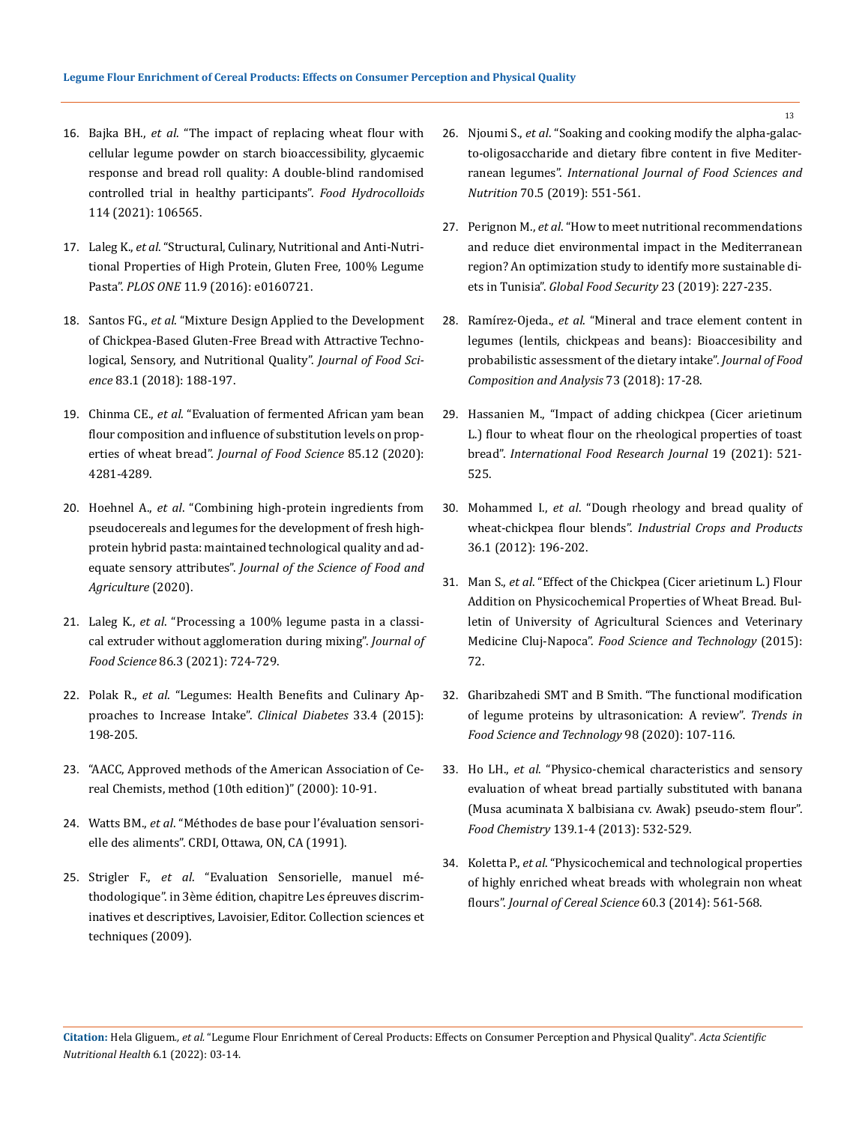- 16. Bajka BH., *et al*[. "The impact of replacing wheat flour with](https://www.sciencedirect.com/science/article/pii/S0268005X20329398)  [cellular legume powder on starch bioaccessibility, glycaemic](https://www.sciencedirect.com/science/article/pii/S0268005X20329398)  [response and bread roll quality: A double-blind randomised](https://www.sciencedirect.com/science/article/pii/S0268005X20329398)  [controlled trial in healthy participants".](https://www.sciencedirect.com/science/article/pii/S0268005X20329398) *Food Hydrocolloids* [114 \(2021\): 106565.](https://www.sciencedirect.com/science/article/pii/S0268005X20329398)
- 17. Laleg K., *et al*[. "Structural, Culinary, Nutritional and Anti-Nutri](https://pubmed.ncbi.nlm.nih.gov/27603917/)[tional Properties of High Protein, Gluten Free, 100% Legume](https://pubmed.ncbi.nlm.nih.gov/27603917/)  Pasta". *PLOS ONE* [11.9 \(2016\): e0160721.](https://pubmed.ncbi.nlm.nih.gov/27603917/)
- 18. Santos FG., *et al*[. "Mixture Design Applied to the Development](https://pubmed.ncbi.nlm.nih.gov/29210449/)  [of Chickpea-Based Gluten-Free Bread with Attractive Techno](https://pubmed.ncbi.nlm.nih.gov/29210449/)[logical, Sensory, and Nutritional Quality".](https://pubmed.ncbi.nlm.nih.gov/29210449/) *Journal of Food Science* [83.1 \(2018\): 188-197.](https://pubmed.ncbi.nlm.nih.gov/29210449/)
- 19. Chinma CE., *et al*[. "Evaluation of fermented African yam bean](https://ift.onlinelibrary.wiley.com/doi/abs/10.1111/1750-3841.15527)  [flour composition and influence of substitution levels on prop](https://ift.onlinelibrary.wiley.com/doi/abs/10.1111/1750-3841.15527)erties of wheat bread". *[Journal of Food Science](https://ift.onlinelibrary.wiley.com/doi/abs/10.1111/1750-3841.15527)* 85.12 (2020): [4281-4289.](https://ift.onlinelibrary.wiley.com/doi/abs/10.1111/1750-3841.15527)
- 20. Hoehnel A., *et al*[. "Combining high-protein ingredients from](https://onlinelibrary.wiley.com/doi/10.1002/jsfa.10994)  [pseudocereals and legumes for the development of fresh high](https://onlinelibrary.wiley.com/doi/10.1002/jsfa.10994)[protein hybrid pasta: maintained technological quality and ad](https://onlinelibrary.wiley.com/doi/10.1002/jsfa.10994)equate sensory attributes". *[Journal of the Science of Food and](https://onlinelibrary.wiley.com/doi/10.1002/jsfa.10994)  [Agriculture](https://onlinelibrary.wiley.com/doi/10.1002/jsfa.10994)* (2020).
- 21. Laleg K., *et al*[. "Processing a 100% legume pasta in a classi](https://ift.onlinelibrary.wiley.com/doi/full/10.1111/1750-3841.15604)[cal extruder without agglomeration during mixing".](https://ift.onlinelibrary.wiley.com/doi/full/10.1111/1750-3841.15604) *Journal of Food Science* [86.3 \(2021\): 724-729.](https://ift.onlinelibrary.wiley.com/doi/full/10.1111/1750-3841.15604)
- 22. Polak R., *et al*[. "Legumes: Health Benefits and Culinary Ap](https://www.ncbi.nlm.nih.gov/pmc/articles/PMC4608274/)[proaches to Increase Intake".](https://www.ncbi.nlm.nih.gov/pmc/articles/PMC4608274/) *Clinical Diabetes* 33.4 (2015): [198-205.](https://www.ncbi.nlm.nih.gov/pmc/articles/PMC4608274/)
- 23. ["AACC, Approved methods of the American Association of Ce](https://www.scirp.org/(S(351jmbntvnsjt1aadkposzje))/reference/ReferencesPapers.aspx?ReferenceID=181689)[real Chemists, method \(10th edition\)" \(2000\): 10-91.](https://www.scirp.org/(S(351jmbntvnsjt1aadkposzje))/reference/ReferencesPapers.aspx?ReferenceID=181689)
- 24. Watts BM., *et al*[. "Méthodes de base pour l'évaluation sensori](https://idl-bnc-idrc.dspacedirect.org/bitstream/handle/10625/3774/IDL-3774.pdf?sequence=1)[elle des aliments". CRDI, Ottawa, ON, CA \(1991\).](https://idl-bnc-idrc.dspacedirect.org/bitstream/handle/10625/3774/IDL-3774.pdf?sequence=1)
- 25. Strigler F., *et al*[. "Evaluation Sensorielle, manuel mé](https://complements.lavoisier.net/9782743015565_evaluation-sensorielle-manuel-methodologique-3-ed-collection-sciences-et-techniques-agroalimentaire_Sommaire.pdf)[thodologique". in 3ème édition, chapitre Les épreuves](https://complements.lavoisier.net/9782743015565_evaluation-sensorielle-manuel-methodologique-3-ed-collection-sciences-et-techniques-agroalimentaire_Sommaire.pdf) discrim[inatives et descriptives, Lavoisier, Editor. Collection sciences et](https://complements.lavoisier.net/9782743015565_evaluation-sensorielle-manuel-methodologique-3-ed-collection-sciences-et-techniques-agroalimentaire_Sommaire.pdf)  [techniques \(2009\).](https://complements.lavoisier.net/9782743015565_evaluation-sensorielle-manuel-methodologique-3-ed-collection-sciences-et-techniques-agroalimentaire_Sommaire.pdf)
- 26. Njoumi S., *et al*[. "Soaking and cooking modify the alpha-galac](https://pubmed.ncbi.nlm.nih.gov/30614326/)[to-oligosaccharide and dietary fibre content in five Mediter](https://pubmed.ncbi.nlm.nih.gov/30614326/)ranean legumes". *[International Journal of Food Sciences and](https://pubmed.ncbi.nlm.nih.gov/30614326/) Nutrition* [70.5 \(2019\): 551-561.](https://pubmed.ncbi.nlm.nih.gov/30614326/)
- 27. Perignon M., *et al*[. "How to meet nutritional recommendations](https://www.sciencedirect.com/science/article/pii/S2211912419300343) [and reduce diet environmental impact in the Mediterranean](https://www.sciencedirect.com/science/article/pii/S2211912419300343) [region? An optimization study to identify more sustainable di](https://www.sciencedirect.com/science/article/pii/S2211912419300343)ets in Tunisia". *[Global Food Security](https://www.sciencedirect.com/science/article/pii/S2211912419300343)* 23 (2019): 227-235.
- 28. Ramírez-Ojeda., *et al*[. "Mineral and trace element content in](https://www.sciencedirect.com/science/article/abs/pii/S0889157518305349) [legumes \(lentils, chickpeas and beans\): Bioaccesibility and](https://www.sciencedirect.com/science/article/abs/pii/S0889157518305349) [probabilistic assessment of the dietary intake".](https://www.sciencedirect.com/science/article/abs/pii/S0889157518305349) *Journal of Food [Composition and Analysis](https://www.sciencedirect.com/science/article/abs/pii/S0889157518305349)* 73 (2018): 17-28.
- 29. [Hassanien M., "Impact of adding chickpea \(Cicer arietinum](http://www.ifrj.upm.edu.my/19%20(02)%202012/(21)IFRJ-2012%20Hefnawy.pdf) [L.\) flour to wheat flour on the rheological properties of toast](http://www.ifrj.upm.edu.my/19%20(02)%202012/(21)IFRJ-2012%20Hefnawy.pdf) bread". *[International Food Research Journal](http://www.ifrj.upm.edu.my/19%20(02)%202012/(21)IFRJ-2012%20Hefnawy.pdf)* 19 (2021): 521- [525.](http://www.ifrj.upm.edu.my/19%20(02)%202012/(21)IFRJ-2012%20Hefnawy.pdf)
- 30. Mohammed I., *et al*[. "Dough rheology and bread quality of](https://www.sciencedirect.com/science/article/abs/pii/S0926669011003815) wheat-chickpea flour blends". *[Industrial Crops and Products](https://www.sciencedirect.com/science/article/abs/pii/S0926669011003815)* [36.1 \(2012\): 196-202.](https://www.sciencedirect.com/science/article/abs/pii/S0926669011003815)
- 31. Man S., *et al*[. "Effect of the Chickpea \(Cicer arietinum L.\) Flour](https://www.researchgate.net/publication/281469226_Effect_of_the_Chickpea_Cicer_arietinum_L_Flour_Addition_on_Physicochemical_Properties_of_Wheat_Bread) [Addition on Physicochemical Properties of Wheat Bread. Bul](https://www.researchgate.net/publication/281469226_Effect_of_the_Chickpea_Cicer_arietinum_L_Flour_Addition_on_Physicochemical_Properties_of_Wheat_Bread)[letin of University of Agricultural Sciences and Veterinary](https://www.researchgate.net/publication/281469226_Effect_of_the_Chickpea_Cicer_arietinum_L_Flour_Addition_on_Physicochemical_Properties_of_Wheat_Bread) Medicine Cluj-Napoca". *[Food Science and Technology](https://www.researchgate.net/publication/281469226_Effect_of_the_Chickpea_Cicer_arietinum_L_Flour_Addition_on_Physicochemical_Properties_of_Wheat_Bread)* (2015): [72.](https://www.researchgate.net/publication/281469226_Effect_of_the_Chickpea_Cicer_arietinum_L_Flour_Addition_on_Physicochemical_Properties_of_Wheat_Bread)
- 32. [Gharibzahedi SMT and B Smith. "The functional modification](https://www.sciencedirect.com/science/article/abs/pii/S0924224419308684) [of legume proteins by ultrasonication: A review".](https://www.sciencedirect.com/science/article/abs/pii/S0924224419308684) *Trends in [Food Science and Technology](https://www.sciencedirect.com/science/article/abs/pii/S0924224419308684)* 98 (2020): 107-116.
- 33. Ho LH., *et al*[. "Physico-chemical characteristics and sensory](https://pubmed.ncbi.nlm.nih.gov/23561142/) [evaluation of wheat bread partially substituted with banana](https://pubmed.ncbi.nlm.nih.gov/23561142/) [\(Musa acuminata X balbisiana cv. Awak\) pseudo-stem flour".](https://pubmed.ncbi.nlm.nih.gov/23561142/) *Food Chemistry* [139.1-4 \(2013\): 532-529.](https://pubmed.ncbi.nlm.nih.gov/23561142/)
- 34. Koletta P., *et al*[. "Physicochemical and technological properties](https://www.sciencedirect.com/science/article/abs/pii/S073352101400160X) [of highly enriched wheat breads with wholegrain non wheat](https://www.sciencedirect.com/science/article/abs/pii/S073352101400160X) flours". *[Journal of Cereal Science](https://www.sciencedirect.com/science/article/abs/pii/S073352101400160X)* 60.3 (2014): 561-568.

**Citation:** Hela Gliguem*., et al.* "Legume Flour Enrichment of Cereal Products: Effects on Consumer Perception and Physical Quality". *Acta Scientific Nutritional Health* 6.1 (2022): 03-14.